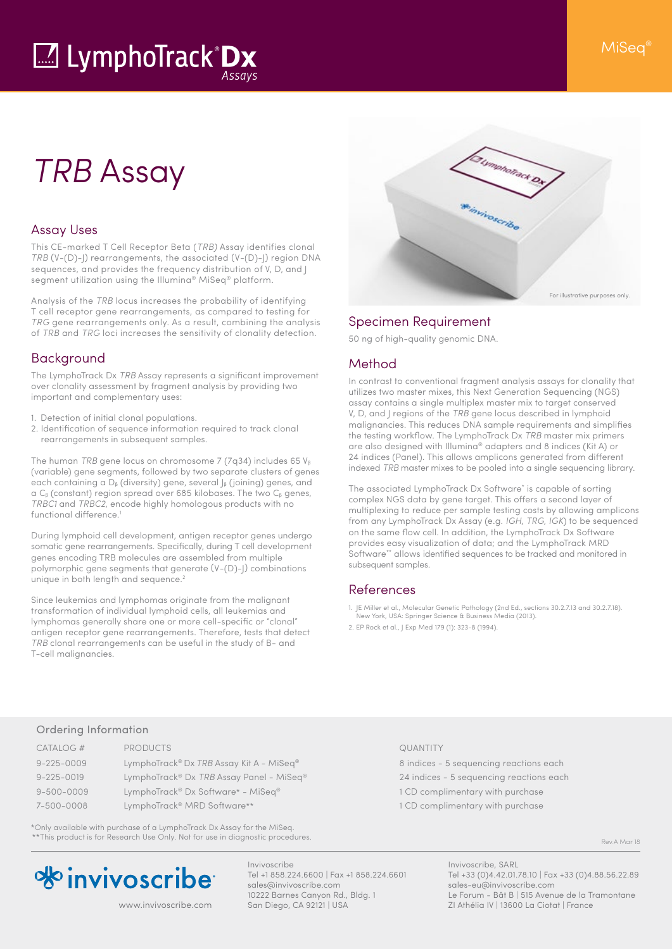# M LymphoTrack Dx

# *TRB* Assay

### Assay Uses

This CE-marked T Cell Receptor Beta (*TRB)* Assay identifies clonal *TRB* (V-(D)-J) rearrangements, the associated (V-(D)-J) region DNA sequences, and provides the frequency distribution of V, D, and J segment utilization using the Illumina® MiSeq® platform.

Analysis of the *TRB* locus increases the probability of identifying T cell receptor gene rearrangements, as compared to testing for *TRG* gene rearrangements only. As a result, combining the analysis of *TRB* and *TRG* loci increases the sensitivity of clonality detection.

### Background

The LymphoTrack Dx *TRB* Assay represents a significant improvement over clonality assessment by fragment analysis by providing two important and complementary uses:

- 1. Detection of initial clonal populations.
- 2. Identification of sequence information required to track clonal rearrangements in subsequent samples.

The human *TRB* gene locus on chromosome 7 (7q34) includes 65 V<sub>β</sub> (variable) gene segments, followed by two separate clusters of genes each containing a D<sub>β</sub> (diversity) gene, several J<sub>β</sub> (joining) genes, and a Cβ (constant) region spread over 685 kilobases. The two Cβ genes, *TRBC1* and *TRBC2*, encode highly homologous products with no functional difference.<sup>1</sup>

During lymphoid cell development, antigen receptor genes undergo somatic gene rearrangements. Specifically, during T cell development genes encoding TRB molecules are assembled from multiple polymorphic gene segments that generate (V-(D)-|) combinations unique in both length and sequence.<sup>2</sup>

Since leukemias and lymphomas originate from the malignant transformation of individual lymphoid cells, all leukemias and lymphomas generally share one or more cell-specific or "clonal" antigen receptor gene rearrangements. Therefore, tests that detect *TRB* clonal rearrangements can be useful in the study of B- and T-cell malignancies.



# Specimen Requirement

50 ng of high-quality genomic DNA.

# Method

In contrast to conventional fragment analysis assays for clonality that utilizes two master mixes, this Next Generation Sequencing (NGS) assay contains a single multiplex master mix to target conserved V, D, and J regions of the *TRB* gene locus described in lymphoid malignancies. This reduces DNA sample requirements and simplifies the testing workflow. The LymphoTrack Dx *TRB* master mix primers are also designed with Illumina® adapters and 8 indices (Kit A) or 24 indices (Panel). This allows amplicons generated from different indexed *TRB* master mixes to be pooled into a single sequencing library.

The associated LymphoTrack Dx Software\* is capable of sorting complex NGS data by gene target. This offers a second layer of multiplexing to reduce per sample testing costs by allowing amplicons from any LymphoTrack Dx Assay (e.g. *IGH*, *TRG*, *IGK*) to be sequenced on the same flow cell. In addition, the LymphoTrack Dx Software provides easy visualization of data; and the LymphoTrack MRD .<br>Software\*\* allows identified sequences to be tracked and monitored in subsequent samples.

# References

- 1. JE Miller et al., Molecular Genetic Pathology (2nd Ed., sections 30.2.7.13 and 30.2.7.18). New York, USA: Springer Science & Business Media (2013).
- 2. EP Rock et al., J Exp Med 179 (1): 323-8 (1994).

#### Ordering Information

| CATALOG #        | <b>PRODUCTS</b>                          | QUANTITY    |
|------------------|------------------------------------------|-------------|
| $9 - 225 - 0009$ | LymphoTrack® Dx TRB Assay Kit A - MiSeq® | 8 indices - |
| $9 - 225 - 0019$ | LymphoTrack® Dx TRB Assay Panel - MiSeq® | 24 indices  |
| $9 - 500 - 0009$ | LymphoTrack® Dx Software* - MiSeq®       | 1 CD comp   |
| 7-500-0008       | LymphoTrack <sup>®</sup> MRD Software**  | 1 CD comp   |

\*Only available with purchase of a LymphoTrack Dx Assay for the MiSeq. \*\*This product is for Research Use Only. Not for use in diagnostic procedures.



Invivoscribe Tel +1 858.224.6600 | Fax +1 858.224.6601 sales@invivoscribe.com 10222 Barnes Canyon Rd., Bldg. 1 San Diego, CA 92121 | USA www.invivoscribe.com San Diego, CA 92121 | USA ZI Athélia IV | 13600 La Ciotat | France

8 indices - 5 sequencing reactions each 24 indices - 5 sequencing reactions each 1 CD complimentary with purchase

1 CD complimentary with purchase

Rev.A Mar 18

Invivoscribe, SARL Tel +33 (0)4.42.01.78.10 | Fax +33 (0)4.88.56.22.89 sales-eu@invivoscribe.com Le Forum - Bât B | 515 Avenue de la Tramontane